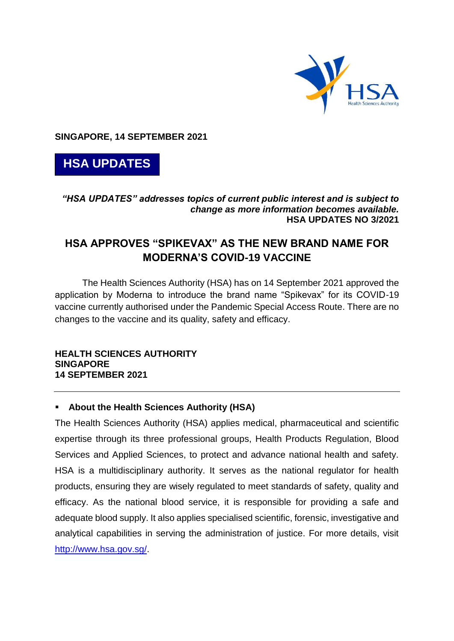

**SINGAPORE, 14 SEPTEMBER 2021**



## *"HSA UPDATES" addresses topics of current public interest and is subject to change as more information becomes available.* **HSA UPDATES NO 3/2021**

# **HSA APPROVES "SPIKEVAX" AS THE NEW BRAND NAME FOR MODERNA'S COVID-19 VACCINE**

The Health Sciences Authority (HSA) has on 14 September 2021 approved the application by Moderna to introduce the brand name "Spikevax" for its COVID-19 vaccine currently authorised under the Pandemic Special Access Route. There are no changes to the vaccine and its quality, safety and efficacy.

#### **HEALTH SCIENCES AUTHORITY SINGAPORE 14 SEPTEMBER 2021**

# **About the Health Sciences Authority (HSA)**

The Health Sciences Authority (HSA) applies medical, pharmaceutical and scientific expertise through its three professional groups, Health Products Regulation, Blood Services and Applied Sciences, to protect and advance national health and safety. HSA is a multidisciplinary authority. It serves as the national regulator for health products, ensuring they are wisely regulated to meet standards of safety, quality and efficacy. As the national blood service, it is responsible for providing a safe and adequate blood supply. It also applies specialised scientific, forensic, investigative and analytical capabilities in serving the administration of justice. For more details, visit [http://www.hsa.gov.sg/.](http://www.hsa.gov.sg/)